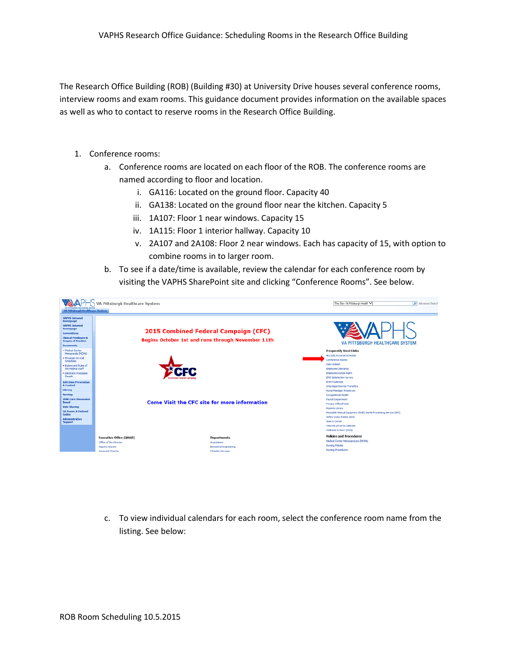The Research Office Building (ROB) (Building #30) at University Drive houses several conference rooms, interview rooms and exam rooms. This guidance document provides information on the available spaces as well as who to contact to reserve rooms in the Research Office Building.

- 1. Conference rooms:
	- a. Conference rooms are located on each floor of the ROB. The conference rooms are named according to floor and location.
		- i. GA116: Located on the ground floor. Capacity 40
		- ii. GA138: Located on the ground floor near the kitchen. Capacity 5
		- iii. 1A107: Floor 1 near windows. Capacity 15
		- iv. 1A115: Floor 1 interior hallway. Capacity 10
		- v. 2A107 and 2A108: Floor 2 near windows. Each has capacity of 15, with option to combine rooms in to larger room.
	- b. To see if a date/time is available, review the calendar for each conference room by visiting the VAPHS SharePoint site and clicking "Conference Rooms". See below.



c. To view individual calendars for each room, select the conference room name from the listing. See below: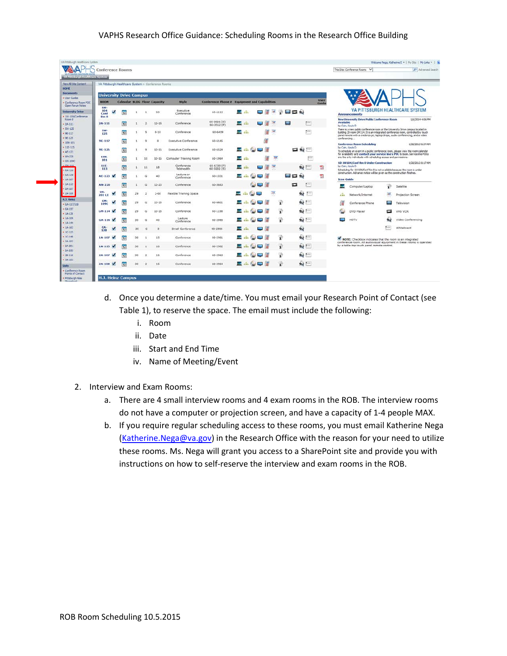## VAPHS Research Office Guidance: Scheduling Rooms in the Research Office Building

| View All Sibe Content<br>10091E                            |                              |                                |                 |                 |              | VA Pittsburgh Healthcare System > Conference Rooms |                             |                                               |                   |                          |                          |             |                       |                      |                                                                                                                                                |                                                                                                                                                                                                                                                       |   |                                 |
|------------------------------------------------------------|------------------------------|--------------------------------|-----------------|-----------------|--------------|----------------------------------------------------|-----------------------------|-----------------------------------------------|-------------------|--------------------------|--------------------------|-------------|-----------------------|----------------------|------------------------------------------------------------------------------------------------------------------------------------------------|-------------------------------------------------------------------------------------------------------------------------------------------------------------------------------------------------------------------------------------------------------|---|---------------------------------|
| <b>Documents</b>                                           |                              | <b>University Drive Campus</b> |                 |                 |              |                                                    |                             |                                               |                   |                          |                          |             |                       |                      |                                                                                                                                                |                                                                                                                                                                                                                                                       |   |                                 |
| · User Quides<br>- Conference Room POC<br>Open Forum Notes | <b>ROOM</b>                  |                                |                 |                 |              | <b>Calendar BLDG Floor Capacity</b>                | <b>Style</b>                | Conference Phone # Equipment and Capabilities |                   |                          |                          |             |                       | <b>User</b><br>Guide |                                                                                                                                                |                                                                                                                                                                                                                                                       |   |                                 |
| <b>University Drive</b><br>· IW-104/Conference             | $1W-$<br>104<br>Conf<br>Rm B |                                | 12              |                 | л.           | so                                                 | Executive<br>Conference     | 60-6112                                       | - 62              | ua (iii                  | $-1$                     |             | $P = 24$              |                      |                                                                                                                                                | <b>Announcements</b>                                                                                                                                                                                                                                  |   | VA PITTSBURGH HEALTHCARE SYSTEM |
| Room II<br>$-24-111$                                       | $2A-111$                     |                                | 12              |                 | $\mathbf{z}$ | $12 - 15$                                          | Conference                  | 60-3826 (S)<br>$60 - 3512(P)$                 | ■ 击               | $\sim$                   | m <sub>0</sub>           |             | $5 - 1$<br>÷          |                      | Available                                                                                                                                      | <b>New University Drive Public Conference Room</b><br>by Can, Kayla D                                                                                                                                                                                 |   | 1/6/2014 4:06 PM                |
| $-5W-125$<br>$-06 - 117$                                   | SW-<br>125                   |                                | 12              |                 |              | $8 - 10$                                           | Conference                  | 60-6459                                       | $\mathbf{r}$      |                          | ₹<br>廇                   |             | $\frac{1}{2}$         |                      |                                                                                                                                                | There is a new public conference room at the University Drive campus located in<br>building 29 room GM114. It is an integrated conference room, controlled by touch<br>panel remote with a credenza pc, laptop drops, audio conferencing, and a video |   |                                 |
| $96 - 125$<br>$+ 1001 - 101$                               | $91 - 117$                   |                                | 12              |                 | ٠            | n                                                  | <b>Executive Conference</b> | 60-6145                                       |                   |                          |                          |             |                       |                      |                                                                                                                                                | conferencing<br><b>Conference Room Scheduling</b>                                                                                                                                                                                                     |   | 6/28/2013 8:34 AM               |
| $-115 - 113$<br>$+$ AE-123                                 | $91 - 125$                   |                                | 12              |                 | a            | $10 - 15$                                          | Executive Conference        | 60-6524                                       | and in            | ÷                        | 海                        |             | 口の一                   |                      |                                                                                                                                                | by Cain, Kayla D<br>To schedule an event in a public conference room, please view the room calendar<br>for availability and contact your service line's POC to book. Service line POCs                                                                |   |                                 |
| $~M + 220$<br>· G4-109C                                    | $10N -$<br>101               |                                | 12              |                 | 10           | $10 - 15$                                          | Computer Training Room      | 60-1964                                       | ш                 |                          |                          | <b>Test</b> | $F_{AB}$              |                      |                                                                                                                                                | are the only individuals with scheduling access and permissions.                                                                                                                                                                                      |   |                                 |
| $*$ GN-114<br>$-64 - 115$                                  | $11E-$<br>113                |                                | $\overline{12}$ | $\mathbf{1}$    | 11           | 10                                                 | Conference<br>Telehealth    | 60-6730 (P)<br>$60 - 3202 (S)$                | $\mathcal{L}$ and |                          | $\overline{=}$           |             | $1 - 1$<br>敷          | 博                    | <b>UD 1W104/Conf Rm B Under Construction</b><br>by Cain, Kayla D.<br>Scheduling for 1W104/Conf Rm B is not available because the room is under | 6/28/2013 8:17 AM                                                                                                                                                                                                                                     |   |                                 |
| $-GA-138$<br>$1A - 107$                                    | $AE-123$                     | ×                              | 52              |                 | G            | 40                                                 | Lecture or<br>Conference    | 60-1031                                       |                   | a,                       |                          |             | - -<br>6 <sub>3</sub> | 鸖                    |                                                                                                                                                | construction. Advance notice will be given as the construction finishes.<br><b>Icon Guide</b>                                                                                                                                                         |   |                                 |
| 14-115<br>$-2A-107$                                        | AN-220                       |                                | 82              |                 | G            | $12 - 20$                                          | Conference                  | 60-3663                                       |                   | $\sim$                   |                          |             | c<br>折                |                      | ш                                                                                                                                              | Computer/Laptop                                                                                                                                                                                                                                       | Ð | Satellite                       |
| $-24:108$                                                  | $2M -$<br>2021X              |                                | 52              | 29              | $\mathbf{z}$ | $2 - 60$                                           | Flexible Training Space     |                                               |                   |                          | $\overline{\phantom{a}}$ |             | 蘇<br>$\frac{1}{2}$    |                      | AR 6                                                                                                                                           | Network/Internet                                                                                                                                                                                                                                      | 冨 | Projection Screen               |
| H.I. Heinz<br>$-$ GA-117/118                               | GM-<br>109C                  |                                | 12              | 29              | G            | 10.15                                              | Conference                  | 60-6601                                       |                   |                          |                          | Þ           | $63 -$                |                      |                                                                                                                                                | Conference Phone                                                                                                                                                                                                                                      | ▬ | Television                      |
| $-GA$ 157<br>$= 14.130$                                    | $GM-114$                     |                                | 12              | 29              | G            | 10.15                                              | Conference                  | 60-1198                                       |                   | 12 黄                     |                          | Ð           | 23                    |                      |                                                                                                                                                | DVD Player                                                                                                                                                                                                                                            | ▭ | VHS VCR                         |
| $-14-109$<br>$-14-144$                                     | $GA - 116$                   |                                | 12              | 30 <sub>1</sub> | G            | $-40$                                              | Lecture<br>Conference       | 60-2965                                       |                   | <b>STATE</b>             |                          | Ð           | $2.1 -$               |                      |                                                                                                                                                | HDTV                                                                                                                                                                                                                                                  |   | Video Conferencing              |
| $-14-163$<br>$•10 - 125$                                   | GA-<br>138                   |                                | 52              | 30              | G            | ्ड                                                 | Small Conference            | 60-2966                                       |                   | <b>No. 140</b>           |                          |             | 9 <sub>1</sub>        |                      |                                                                                                                                                |                                                                                                                                                                                                                                                       |   | Whiteboard                      |
| $*10 - 148$<br>$* 2A - 107$                                | $1A-107$                     |                                | 12              | 30              |              | 15                                                 | Conference                  | 60-2961                                       |                   | <b>SA (2)</b>            |                          | è           | $9 + 1$               |                      |                                                                                                                                                | NOTE: Checkbox indicates that the room is an integrated<br>conference room. All audiovisual equipment in these rooms is operated                                                                                                                      |   |                                 |
| $-24 - 201$<br>$-24 - 253$                                 | $1A-115$                     | w                              | 12              | 30 <sup>°</sup> |              | $10-$                                              | Conference                  | 60-2962                                       |                   | and the fifth            |                          | Ð           | 63.1-                 |                      |                                                                                                                                                | by a table-top touch panel remote control.                                                                                                                                                                                                            |   |                                 |
| $*28-118$<br>$-34 - 103$                                   | $2A-107$                     | ×                              | 12              | 30              |              | 15                                                 | Conference                  | 60-2963                                       |                   | $\sim$ $/$               |                          | Ð           | $\mathbf{a}$          |                      |                                                                                                                                                |                                                                                                                                                                                                                                                       |   |                                 |
| Lists                                                      | $2A-10B$                     |                                | 12              | 30              |              | 15                                                 | Conference                  | 60-2964                                       | $\frac{1}{2}$     | <b>Contract Contract</b> |                          | è           | $9.7 -$               |                      |                                                                                                                                                |                                                                                                                                                                                                                                                       |   |                                 |

- d. Once you determine a date/time. You must email your Research Point of Contact (see Table 1), to reserve the space. The email must include the following:
	- i. Room
	- ii. Date
	- iii. Start and End Time
	- iv. Name of Meeting/Event
- 2. Interview and Exam Rooms:
	- a. There are 4 small interview rooms and 4 exam rooms in the ROB. The interview rooms do not have a computer or projection screen, and have a capacity of 1-4 people MAX.
	- b. If you require regular scheduling access to these rooms, you must email Katherine Nega [\(Katherine.Nega@va.gov\)](mailto:Katherine.Nega@va.gov) in the Research Office with the reason for your need to utilize these rooms. Ms. Nega will grant you access to a SharePoint site and provide you with instructions on how to self-reserve the interview and exam rooms in the ROB.